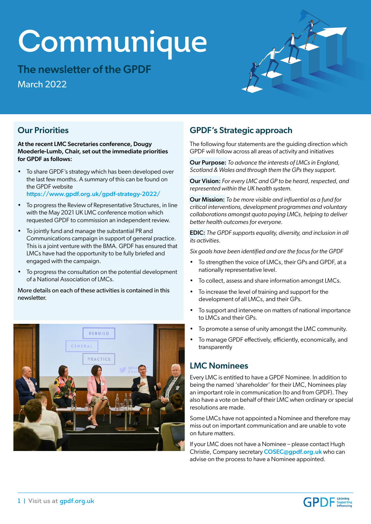# **Communique**

The newsletter of the GPDF March 2022



## Our Priorities

At the recent LMC Secretaries conference, Dougy Moederle-Lumb, Chair, set out the immediate priorities for GPDF as follows:

- To share GPDF's strategy which has been developed over the last few months. A summary of this can be found on the GPDF website https://www.gpdf.org.uk/gpdf-strategy-2022/
- To progress the Review of Representative Structures, in line with the May 2021 UK LMC conference motion which requested GPDF to commission an independent review.
- To jointly fund and manage the substantial PR and Communications campaign in support of general practice. This is a joint venture with the BMA. GPDF has ensured that LMCs have had the opportunity to be fully briefed and engaged with the campaign.
- To progress the consultation on the potential development of a National Association of LMCs.

More details on each of these activities is contained in this newsletter. **THE MOTE** 



## GPDF's Strategic approach

The following four statements are the guiding direction which GPDF will follow across all areas of activity and initiatives

Our Purpose: *To advance the interests of LMCs in England, Scotland & Wales and through them the GPs they support.*

Our Vision: *For every LMC and GP to be heard, respected, and represented within the UK health system.*

Our Mission: *To be more visible and influential as a fund for critical interventions, development programmes and voluntary collaborations amongst quota paying LMCs, helping to deliver better health outcomes for everyone.*

EDIC: *The GPDF supports equality, diversity, and inclusion in all its activities.*

*Six goals have been identified and are the focus for the GPDF*

- To strengthen the voice of LMCs, their GPs and GPDF, at a nationally representative level.
- To collect, assess and share information amongst LMCs.
- To increase the level of training and support for the development of all LMCs, and their GPs.
- To support and intervene on matters of national importance to LMCs and their GPs.
- To promote a sense of unity amongst the LMC community.
- To manage GPDF effectively, efficiently, economically, and transparently

### LMC Nominees

Every LMC is entitled to have a GPDF Nominee. In addition to being the named 'shareholder' for their LMC, Nominees play an important role in communication (to and from GPDF). They also have a vote on behalf of their LMC when ordinary or special resolutions are made.

Some LMCs have not appointed a Nominee and therefore may miss out on important communication and are unable to vote on future matters.

If your LMC does not have a Nominee – please contact Hugh Christie, Company secretary **COSEC@gpdf.org.uk** who can advise on the process to have a Nominee appointed.

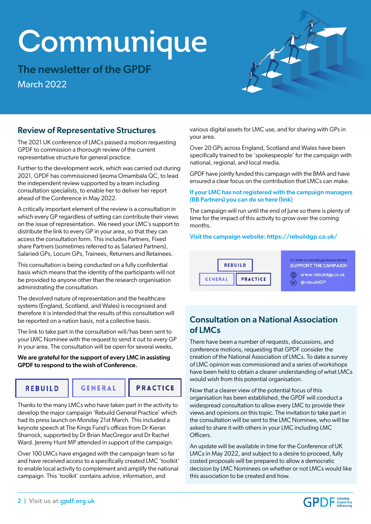# Communique

The newsletter of the GPDF March 2022



## Review of Representative Structures

The 2021 UK conference of LMCs passed a motion requesting GPDF to commission a thorough review of the current representative structure for general practice.

Further to the development work, which was carried out during 2021, GPDF has commissioned Ijeoma Omambala QC, to lead the independent review supported by a team including consultation specialists, to enable her to deliver her report ahead of the Conference in May 2022.

A critically important element of the review is a consultation in which every GP regardless of setting can contribute their views on the issue of representation. We need your LMC's support to distribute the link to every GP in your area, so that they can access the consultation form. This includes Partners, Fixed share Partners (sometimes referred to as Salaried Partners), Salaried GPs, Locum GPs, Trainees, Returners and Retainees.

This consultation is being conducted on a fully confidential basis which means that the identity of the participants will not be provided to anyone other than the research organisation administrating the consultation.

The devolved nature of representation and the healthcare systems (England, Scotland, and Wales) is recognised and therefore it is intended that the results of this consultation will be reported on a nation basis, not a collective basis.

The link to take part in the consultation will/has been sent to your LMC Nominee with the request to send it out to every GP in your area. The consultation will be open for several weeks.

#### We are grateful for the support of every LMC in assisting GPDF to respond to the wish of Conference.

**REBUILD** 

**GENERAL** 

**PRACTICE** 

Thanks to the many LMCs who have taken part in the activity to develop the major campaign 'Rebuild General Practice' which had its press launch on Monday 21st March. This included a keynote speech at The Kings Fund's offices from Dr Kieran Sharrock, supported by Dr Brian MacGregor and Dr Rachel Ward. Jeremy Hunt MP attended in support of the campaign.

Over 100 LMCs have engaged with the campaign team so far and have received access to a specifically created LMC 'toolkit' to enable local activity to complement and amplify the national campaign. This 'toolkit' contains advice, information, and

various digital assets for LMC use, and for sharing with GPs in your area.

Over 20 GPs across England, Scotland and Wales have been specifically trained to be 'spokespeople' for the campaign with national, regional, and local media.

GPDF have jointly funded this campaign with the BMA and have ensured a clear focus on the contribution that LMCs can make.

[If your LMC has not registered with the campaign managers](http://eepurl.com/hUouPb)  (BB Partners) you can do so here (link)

The campaign will run until the end of June so there is plenty of time for the impact of this activity to grow over the coming months.

#### Visit the campaign website: https://rebuildgp.co.uk/



It's time to rebuild general practice<br>SUPPORT THE CAMPAIGN www.rebuildgp.co.uk

C CorebuildGP

# Consultation on a National Association of LMCs

There have been a number of requests, discussions, and conference motions, requesting that GPDF consider the creation of the National Association of LMCs. To date a survey of LMC opinion was commissioned and a series of workshops have been held to obtain a clearer understanding of what LMCs would wish from this potential organisation.

Now that a clearer view of the potential focus of this organisation has been established, the GPDF will conduct a widespread consultation to allow every LMC to provide their views and opinions on this topic. The invitation to take part in the consultation will be sent to the LMC Nominee, who will be asked to share it with others in your LMC including LMC Officers.

An update will be available in time for the Conference of UK LMCs in May 2022, and subject to a desire to proceed, fully costed proposals will be prepared to allow a democratic decision by LMC Nominees on whether or not LMCs would like this association to be created and how.